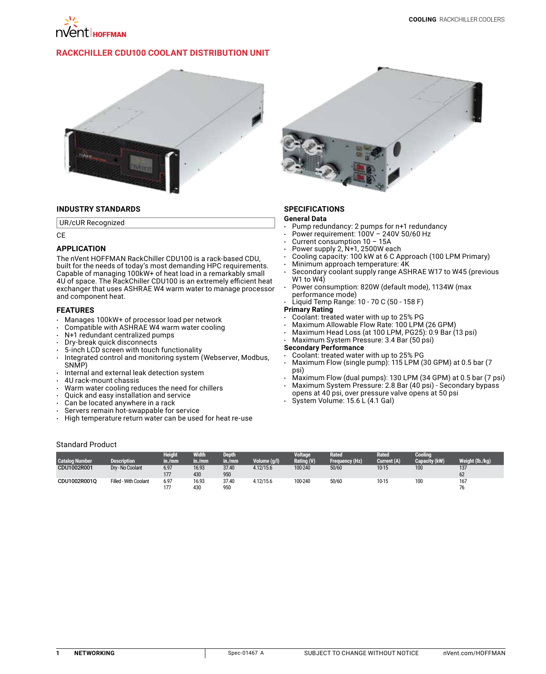

# **RackChiller CDU100 Coolant Distribution Unit**



## **INDUSTRY STANDARDS**

UR/cUR Recognized

CE

## **APPLICATION**

The nVent HOFFMAN RackChiller CDU100 is a rack-based CDU, built for the needs of today's most demanding HPC requirements. Capable of managing 100kW+ of heat load in a remarkably small 4U of space. The RackChiller CDU100 is an extremely efficient heat exchanger that uses ASHRAE W4 warm water to manage processor and component heat.

### **FEATURES**

- Manages 100kW+ of processor load per network
- Compatible with ASHRAE W4 warm water cooling
- N+1 redundant centralized pumps
- Dry-break quick disconnects
- 5-inch LCD screen with touch functionality
- Integrated control and monitoring system (Webserver, Modbus, SNMP)
- $\cdot$  Internal and external leak detection system
- 4U rack-mount chassis
- Warm water cooling reduces the need for chillers
- Quick and easy installation and service
- Can be located anywhere in a rack
- Servers remain hot-swappable for service<br>• High temperature return water can be used
- High temperature return water can be used for heat re-use



# **SPECIFICATIONS**

#### **General Data**

- Pump redundancy: 2 pumps for n+1 redundancy
- Power requirement: 100V 240V 50/60 Hz
- Current consumption 10 15A
- Power supply 2, N+1, 2500W each
- Cooling capacity: 100 kW at 6 C Approach (100 LPM Primary)
- Minimum approach temperature: 4K
- Secondary coolant supply range ASHRAE W17 to W45 (previous W<sub>1</sub> to W<sub>4</sub>)
- Power consumption: 820W (default mode), 1134W (max performance mode)
- Liquid Temp Range: 10 70 C (50 158 F)

# **Primary Rating**

- Coolant: treated water with up to 25% PG
- Maximum Allowable Flow Rate: 100 LPM (26 GPM)
- Maximum Head Loss (at 100 LPM, PG25): 0.9 Bar (13 psi)
- Maximum System Pressure: 3.4 Bar (50 psi)

### **Secondary Performance**

- Coolant: treated water with up to 25% PG
- Maximum Flow (single pump): 115 LPM (30 GPM) at 0.5 bar (7 psi)
- Maximum Flow (dual pumps): 130 LPM (34 GPM) at 0.5 bar (7 psi)
- Maximum System Pressure: 2.8 Bar (40 psi) Secondary bypass
- opens at 40 psi, over pressure valve opens at 50 psi
- System Volume: 15.6 L (4.1 Gal)

### Standard Product

|                       |                       | <b>Height</b> | <b>Width</b> | Depth  |              | <b>Voltage</b> | <b>Rated</b>   | <b>Rated</b> | Cooling       |                 |
|-----------------------|-----------------------|---------------|--------------|--------|--------------|----------------|----------------|--------------|---------------|-----------------|
| <b>Catalog Number</b> | <b>Description</b>    | in./mm        | in./mm       | in./mm | Volume (g/l) | Rating (V)     | Frequency (Hz) | Current (A)  | Capacity (kW) | Weight (lb./kg) |
| CDU1002R001           | Drv - No Coolant      | 6.97          | 16.93        | 37.40  | 4.12/15.6    | 100-240        | 50/60          | 10-15        | 100           | 137             |
|                       |                       | 177           | 430          | 950    |              |                |                |              |               | 62              |
| CDU1002R001O          | Filled - With Coolant | 6.97          | 16.93        | 37.40  | 4.12/15.6    | 100-240        | 50/60          | 10-15        | 100           | 167             |
|                       |                       | 177           | 430          | 950    |              |                |                |              |               | 76              |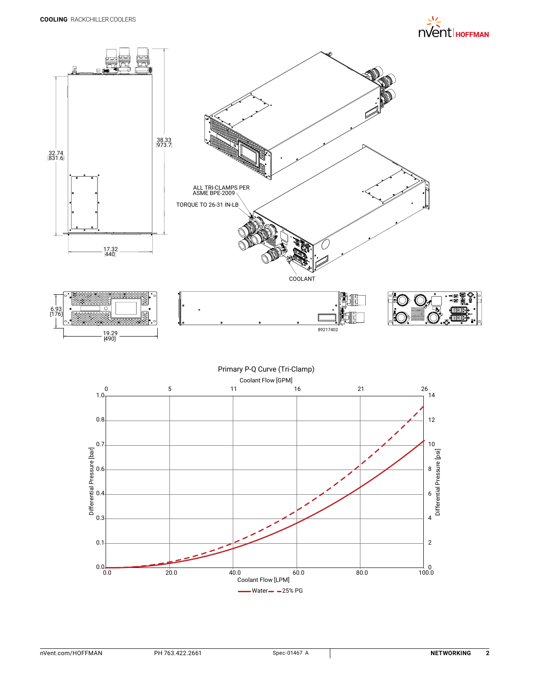

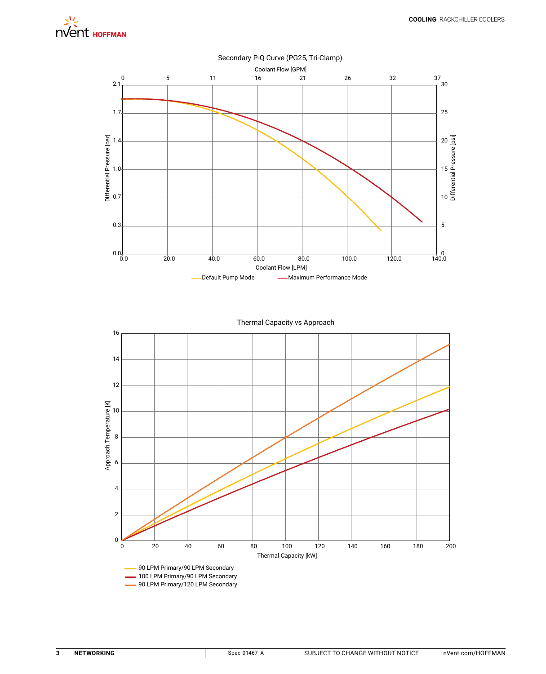